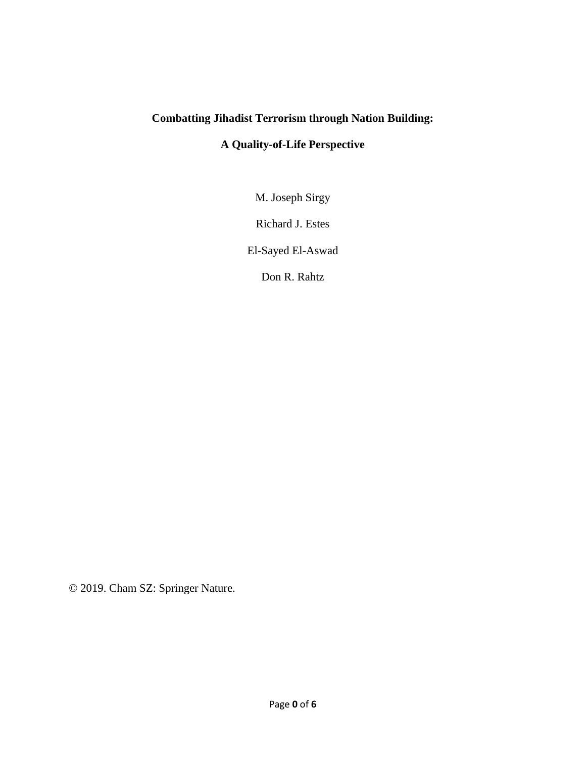## **Combatting Jihadist Terrorism through Nation Building:**

## **A Quality-of-Life Perspective**

M. Joseph Sirgy

Richard J. Estes

El-Sayed El-Aswad

Don R. Rahtz

© 2019. Cham SZ: Springer Nature.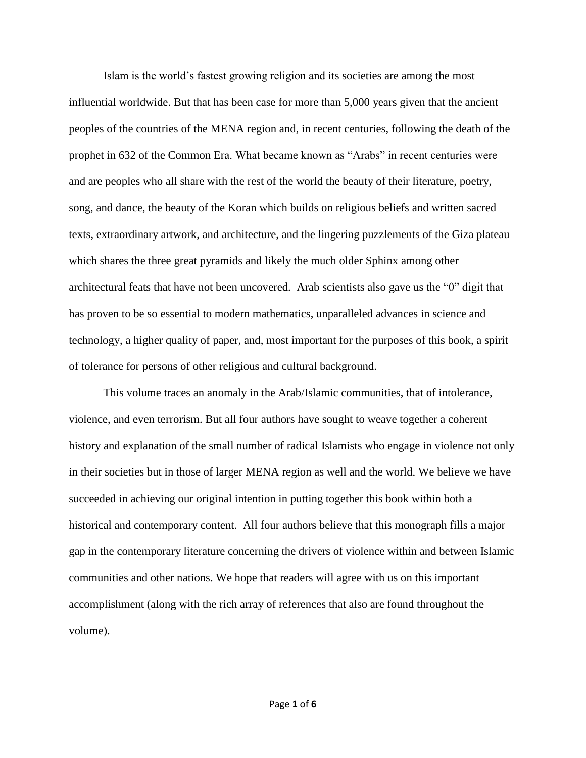Islam is the world's fastest growing religion and its societies are among the most influential worldwide. But that has been case for more than 5,000 years given that the ancient peoples of the countries of the MENA region and, in recent centuries, following the death of the prophet in 632 of the Common Era. What became known as "Arabs" in recent centuries were and are peoples who all share with the rest of the world the beauty of their literature, poetry, song, and dance, the beauty of the Koran which builds on religious beliefs and written sacred texts, extraordinary artwork, and architecture, and the lingering puzzlements of the Giza plateau which shares the three great pyramids and likely the much older Sphinx among other architectural feats that have not been uncovered. Arab scientists also gave us the "0" digit that has proven to be so essential to modern mathematics, unparalleled advances in science and technology, a higher quality of paper, and, most important for the purposes of this book, a spirit of tolerance for persons of other religious and cultural background.

This volume traces an anomaly in the Arab/Islamic communities, that of intolerance, violence, and even terrorism. But all four authors have sought to weave together a coherent history and explanation of the small number of radical Islamists who engage in violence not only in their societies but in those of larger MENA region as well and the world. We believe we have succeeded in achieving our original intention in putting together this book within both a historical and contemporary content. All four authors believe that this monograph fills a major gap in the contemporary literature concerning the drivers of violence within and between Islamic communities and other nations. We hope that readers will agree with us on this important accomplishment (along with the rich array of references that also are found throughout the volume).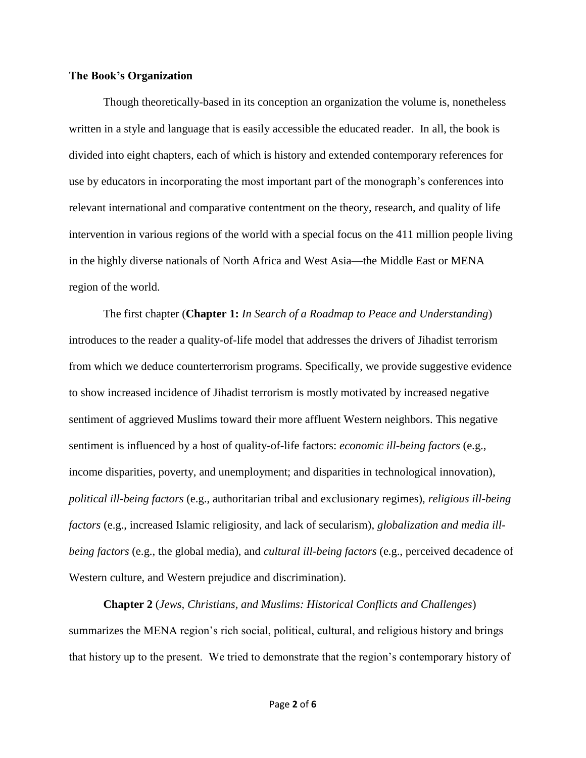## **The Book's Organization**

Though theoretically-based in its conception an organization the volume is, nonetheless written in a style and language that is easily accessible the educated reader. In all, the book is divided into eight chapters, each of which is history and extended contemporary references for use by educators in incorporating the most important part of the monograph's conferences into relevant international and comparative contentment on the theory, research, and quality of life intervention in various regions of the world with a special focus on the 411 million people living in the highly diverse nationals of North Africa and West Asia—the Middle East or MENA region of the world.

The first chapter (**Chapter 1:** *In Search of a Roadmap to Peace and Understanding*) introduces to the reader a quality-of-life model that addresses the drivers of Jihadist terrorism from which we deduce counterterrorism programs. Specifically, we provide suggestive evidence to show increased incidence of Jihadist terrorism is mostly motivated by increased negative sentiment of aggrieved Muslims toward their more affluent Western neighbors. This negative sentiment is influenced by a host of quality-of-life factors: *economic ill-being factors* (e.g., income disparities, poverty, and unemployment; and disparities in technological innovation), *political ill-being factors* (e.g., authoritarian tribal and exclusionary regimes), *religious ill-being factors* (e.g., increased Islamic religiosity, and lack of secularism), *globalization and media illbeing factors* (e.g., the global media), and *cultural ill-being factors* (e.g., perceived decadence of Western culture, and Western prejudice and discrimination).

**Chapter 2** (*Jews, Christians, and Muslims: Historical Conflicts and Challenges*) summarizes the MENA region's rich social, political, cultural, and religious history and brings that history up to the present. We tried to demonstrate that the region's contemporary history of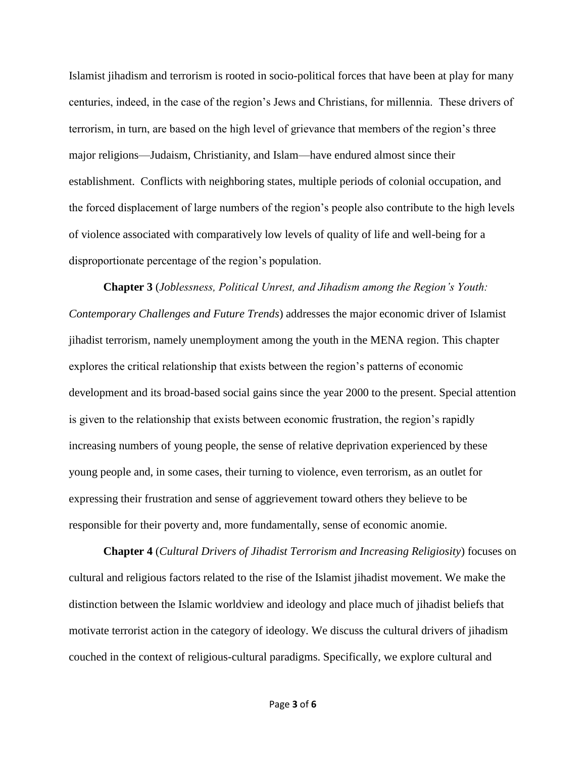Islamist jihadism and terrorism is rooted in socio-political forces that have been at play for many centuries, indeed, in the case of the region's Jews and Christians, for millennia. These drivers of terrorism, in turn, are based on the high level of grievance that members of the region's three major religions—Judaism, Christianity, and Islam—have endured almost since their establishment. Conflicts with neighboring states, multiple periods of colonial occupation, and the forced displacement of large numbers of the region's people also contribute to the high levels of violence associated with comparatively low levels of quality of life and well-being for a disproportionate percentage of the region's population.

**Chapter 3** (*Joblessness, Political Unrest, and Jihadism among the Region's Youth: Contemporary Challenges and Future Trends*) addresses the major economic driver of Islamist jihadist terrorism, namely unemployment among the youth in the MENA region. This chapter explores the critical relationship that exists between the region's patterns of economic development and its broad-based social gains since the year 2000 to the present. Special attention is given to the relationship that exists between economic frustration, the region's rapidly increasing numbers of young people, the sense of relative deprivation experienced by these young people and, in some cases, their turning to violence, even terrorism, as an outlet for expressing their frustration and sense of aggrievement toward others they believe to be responsible for their poverty and, more fundamentally, sense of economic anomie.

**Chapter 4** (*Cultural Drivers of Jihadist Terrorism and Increasing Religiosity*) focuses on cultural and religious factors related to the rise of the Islamist jihadist movement. We make the distinction between the Islamic worldview and ideology and place much of jihadist beliefs that motivate terrorist action in the category of ideology. We discuss the cultural drivers of jihadism couched in the context of religious-cultural paradigms. Specifically, we explore cultural and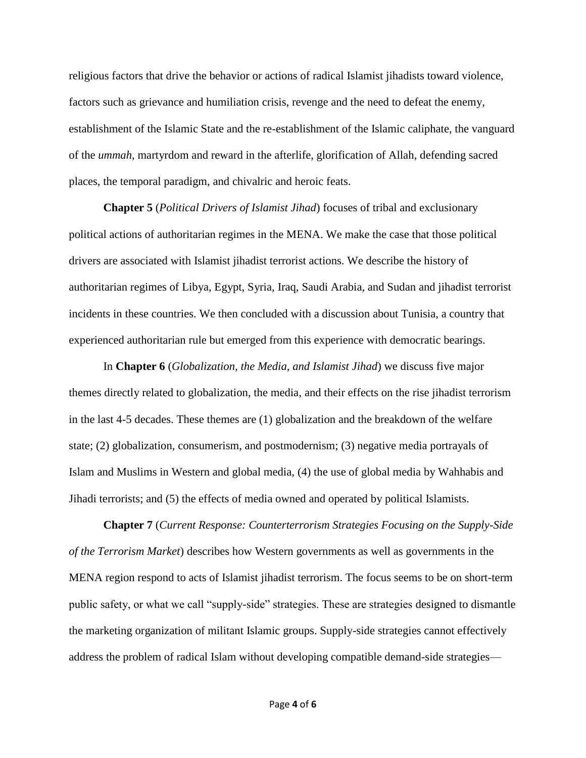religious factors that drive the behavior or actions of radical Islamist jihadists toward violence, factors such as grievance and humiliation crisis, revenge and the need to defeat the enemy, establishment of the Islamic State and the re-establishment of the Islamic caliphate, the vanguard of the *ummah*, martyrdom and reward in the afterlife, glorification of Allah, defending sacred places, the temporal paradigm, and chivalric and heroic feats.

**Chapter 5** (*Political Drivers of Islamist Jihad*) focuses of tribal and exclusionary political actions of authoritarian regimes in the MENA. We make the case that those political drivers are associated with Islamist jihadist terrorist actions. We describe the history of authoritarian regimes of Libya, Egypt, Syria, Iraq, Saudi Arabia, and Sudan and jihadist terrorist incidents in these countries. We then concluded with a discussion about Tunisia, a country that experienced authoritarian rule but emerged from this experience with democratic bearings.

In **Chapter 6** (*Globalization, the Media, and Islamist Jihad*) we discuss five major themes directly related to globalization, the media, and their effects on the rise jihadist terrorism in the last 4-5 decades. These themes are (1) globalization and the breakdown of the welfare state; (2) globalization, consumerism, and postmodernism; (3) negative media portrayals of Islam and Muslims in Western and global media, (4) the use of global media by Wahhabis and Jihadi terrorists; and (5) the effects of media owned and operated by political Islamists.

**Chapter 7** (*Current Response: Counterterrorism Strategies Focusing on the Supply-Side of the Terrorism Market*) describes how Western governments as well as governments in the MENA region respond to acts of Islamist jihadist terrorism. The focus seems to be on short-term public safety, or what we call "supply-side" strategies. These are strategies designed to dismantle the marketing organization of militant Islamic groups. Supply-side strategies cannot effectively address the problem of radical Islam without developing compatible demand-side strategies